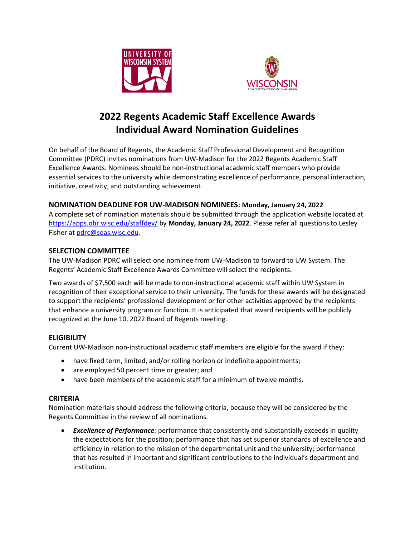



# **2022 Regents Academic Staff Excellence Awards Individual Award Nomination Guidelines**

On behalf of the Board of Regents, the Academic Staff Professional Development and Recognition Committee (PDRC) invites nominations from UW-Madison for the 2022 Regents Academic Staff Excellence Awards. Nominees should be non-instructional academic staff members who provide essential services to the university while demonstrating excellence of performance, personal interaction, initiative, creativity, and outstanding achievement.

# **NOMINATION DEADLINE FOR UW-MADISON NOMINEES: Monday, January 24, 2022**

A complete set of nomination materials should be submitted through the application website located at <https://apps.ohr.wisc.edu/staffdev/> by **Monday, January 24, 2022**. Please refer all questions to Lesley Fisher at [pdrc@soas.wisc.edu.](mailto:pdrc@soas.wisc.edu)

### **SELECTION COMMITTEE**

The UW-Madison PDRC will select one nominee from UW-Madison to forward to UW System. The Regents' Academic Staff Excellence Awards Committee will select the recipients.

Two awards of \$7,500 each will be made to non-instructional academic staff within UW System in recognition of their exceptional service to their university. The funds for these awards will be designated to support the recipients' professional development or for other activities approved by the recipients that enhance a university program or function. It is anticipated that award recipients will be publicly recognized at the June 10, 2022 Board of Regents meeting.

# **ELIGIBILITY**

Current UW-Madison non-instructional academic staff members are eligible for the award if they:

- have fixed term, limited, and/or rolling horizon or indefinite appointments;
- are employed 50 percent time or greater; and
- have been members of the academic staff for a minimum of twelve months.

### **CRITERIA**

Nomination materials should address the following criteria, because they will be considered by the Regents Committee in the review of all nominations.

• *Excellence of Performance:* performance that consistently and substantially exceeds in quality the expectations for the position; performance that has set superior standards of excellence and efficiency in relation to the mission of the departmental unit and the university; performance that has resulted in important and significant contributions to the individual's department and institution.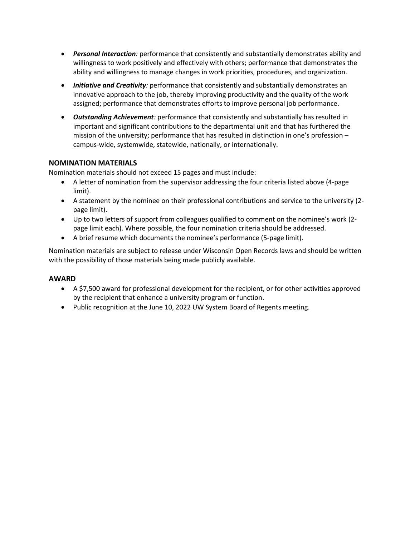- *Personal Interaction:* performance that consistently and substantially demonstrates ability and willingness to work positively and effectively with others; performance that demonstrates the ability and willingness to manage changes in work priorities, procedures, and organization.
- *Initiative and Creativity:* performance that consistently and substantially demonstrates an innovative approach to the job, thereby improving productivity and the quality of the work assigned; performance that demonstrates efforts to improve personal job performance.
- *Outstanding Achievement:* performance that consistently and substantially has resulted in important and significant contributions to the departmental unit and that has furthered the mission of the university; performance that has resulted in distinction in one's profession – campus-wide, systemwide, statewide, nationally, or internationally.

## **NOMINATION MATERIALS**

Nomination materials should not exceed 15 pages and must include:

- A letter of nomination from the supervisor addressing the four criteria listed above (4-page limit).
- A statement by the nominee on their professional contributions and service to the university (2 page limit).
- Up to two letters of support from colleagues qualified to comment on the nominee's work (2 page limit each). Where possible, the four nomination criteria should be addressed.
- A brief resume which documents the nominee's performance (5-page limit).

Nomination materials are subject to release under Wisconsin Open Records laws and should be written with the possibility of those materials being made publicly available.

#### **AWARD**

- A \$7,500 award for professional development for the recipient, or for other activities approved by the recipient that enhance a university program or function.
- Public recognition at the June 10, 2022 UW System Board of Regents meeting.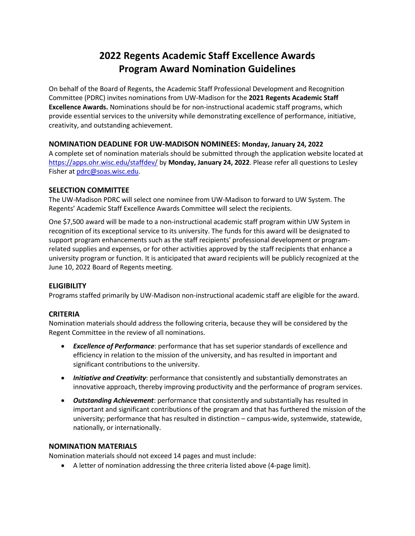# **2022 Regents Academic Staff Excellence Awards Program Award Nomination Guidelines**

On behalf of the Board of Regents, the Academic Staff Professional Development and Recognition Committee (PDRC) invites nominations from UW-Madison for the **2021 Regents Academic Staff Excellence Awards.** Nominations should be for non-instructional academic staff programs, which provide essential services to the university while demonstrating excellence of performance, initiative, creativity, and outstanding achievement.

### **NOMINATION DEADLINE FOR UW-MADISON NOMINEES: Monday, January 24, 2022**

A complete set of nomination materials should be submitted through the application website located at <https://apps.ohr.wisc.edu/staffdev/> by **Monday, January 24, 2022**. Please refer all questions to Lesley Fisher at [pdrc@soas.wisc.edu.](mailto:pdrc@soas.wisc.edu)

### **SELECTION COMMITTEE**

The UW-Madison PDRC will select one nominee from UW-Madison to forward to UW System. The Regents' Academic Staff Excellence Awards Committee will select the recipients.

One \$7,500 award will be made to a non-instructional academic staff program within UW System in recognition of its exceptional service to its university. The funds for this award will be designated to support program enhancements such as the staff recipients' professional development or programrelated supplies and expenses, or for other activities approved by the staff recipients that enhance a university program or function. It is anticipated that award recipients will be publicly recognized at the June 10, 2022 Board of Regents meeting.

### **ELIGIBILITY**

Programs staffed primarily by UW-Madison non-instructional academic staff are eligible for the award.

### **CRITERIA**

Nomination materials should address the following criteria, because they will be considered by the Regent Committee in the review of all nominations.

- *Excellence of Performance*: performance that has set superior standards of excellence and efficiency in relation to the mission of the university, and has resulted in important and significant contributions to the university.
- *Initiative and Creativity*: performance that consistently and substantially demonstrates an innovative approach, thereby improving productivity and the performance of program services.
- *Outstanding Achievement*: performance that consistently and substantially has resulted in important and significant contributions of the program and that has furthered the mission of the university; performance that has resulted in distinction – campus-wide, systemwide, statewide, nationally, or internationally.

#### **NOMINATION MATERIALS**

Nomination materials should not exceed 14 pages and must include:

• A letter of nomination addressing the three criteria listed above (4-page limit).